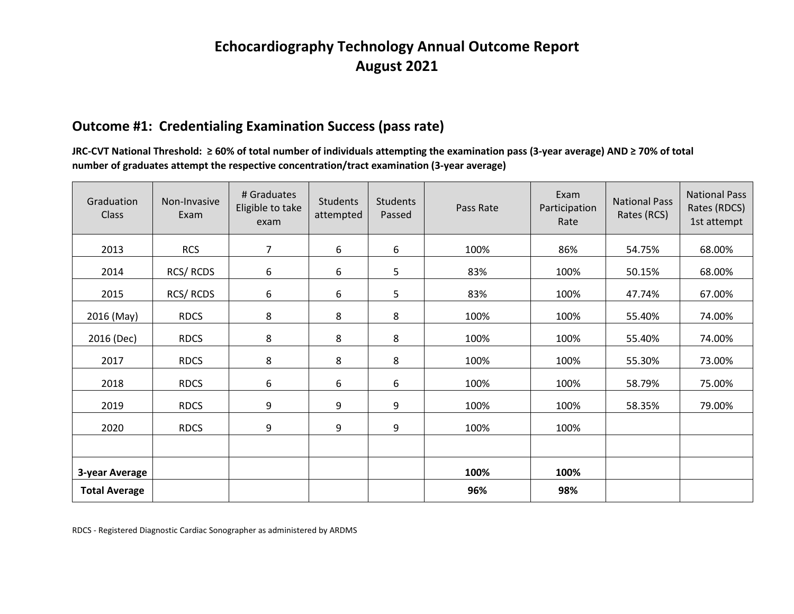## **Echocardiography Technology Annual Outcome Report August 2021**

### **Outcome #1: Credentialing Examination Success (pass rate)**

JRC-CVT National Threshold: ≥60% of total number of individuals attempting the examination pass (3-year average) AND ≥ 70% of total  **number of graduates attempt the respective concentration/tract examination (3-year average)**

| Graduation<br><b>Class</b> | Non-Invasive<br>Exam | # Graduates<br>Eligible to take<br>exam | Students<br>attempted | Students<br>Passed | Pass Rate | Exam<br>Participation<br>Rate | <b>National Pass</b><br>Rates (RCS) | <b>National Pass</b><br>Rates (RDCS)<br>1st attempt |
|----------------------------|----------------------|-----------------------------------------|-----------------------|--------------------|-----------|-------------------------------|-------------------------------------|-----------------------------------------------------|
| 2013                       | <b>RCS</b>           | 7                                       | 6                     | 6                  | 100%      | 86%                           | 54.75%                              | 68.00%                                              |
| 2014                       | RCS/RCDS             | 6                                       | 6                     | 5                  | 83%       | 100%                          | 50.15%                              | 68.00%                                              |
| 2015                       | RCS/RCDS             | 6                                       | 6                     | 5                  | 83%       | 100%                          | 47.74%                              | 67.00%                                              |
| 2016 (May)                 | <b>RDCS</b>          | 8                                       | 8                     | 8                  | 100%      | 100%                          | 55.40%                              | 74.00%                                              |
| 2016 (Dec)                 | <b>RDCS</b>          | 8                                       | 8                     | 8                  | 100%      | 100%                          | 55.40%                              | 74.00%                                              |
| 2017                       | <b>RDCS</b>          | 8                                       | 8                     | 8                  | 100%      | 100%                          | 55.30%                              | 73.00%                                              |
| 2018                       | <b>RDCS</b>          | 6                                       | 6                     | 6                  | 100%      | 100%                          | 58.79%                              | 75.00%                                              |
| 2019                       | <b>RDCS</b>          | 9                                       | 9                     | 9                  | 100%      | 100%                          | 58.35%                              | 79.00%                                              |
| 2020                       | <b>RDCS</b>          | 9                                       | 9                     | 9                  | 100%      | 100%                          |                                     |                                                     |
|                            |                      |                                         |                       |                    |           |                               |                                     |                                                     |
| 3-year Average             |                      |                                         |                       |                    | 100%      | 100%                          |                                     |                                                     |
| <b>Total Average</b>       |                      |                                         |                       |                    | 96%       | 98%                           |                                     |                                                     |

RDCS - Registered Diagnostic Cardiac Sonographer as administered by ARDMS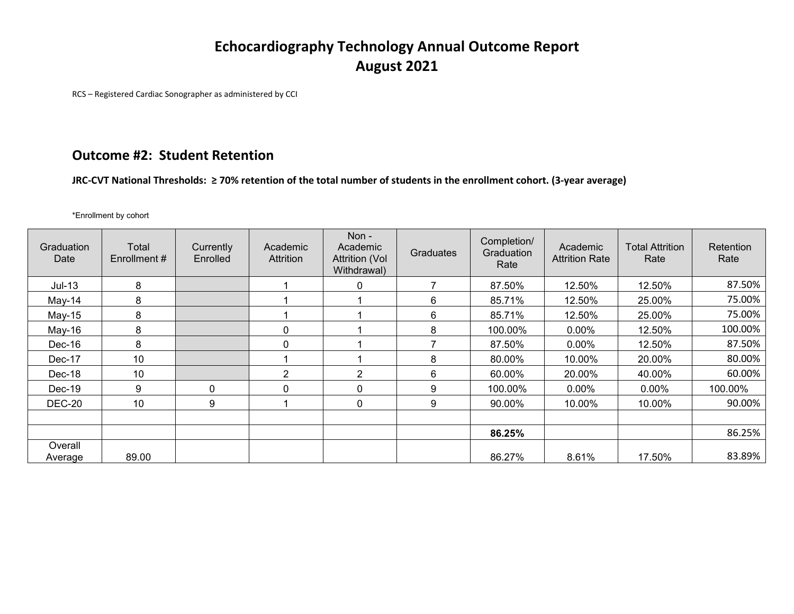# **Echocardiography Technology Annual Outcome Report August 2021**

RCS – Registered Cardiac Sonographer as administered by CCI

### **Outcome #2: Student Retention**

Outcome #2: Student Retention<br>JRC-CVT National Thresholds: ≥ 70% retention of the total number of students in the enrollment cohort. (3-year average)

\*Enrollment by cohort

| Graduation<br>Date | Total<br>Enrollment# | Currently<br>Enrolled | Academic<br>Attrition | Non-<br>Academic<br><b>Attrition (Vol</b><br>Withdrawal) | Graduates | Completion/<br>Graduation<br>Rate | Academic<br><b>Attrition Rate</b> | <b>Total Attrition</b><br>Rate | Retention<br>Rate |
|--------------------|----------------------|-----------------------|-----------------------|----------------------------------------------------------|-----------|-----------------------------------|-----------------------------------|--------------------------------|-------------------|
| $Jul-13$           | 8                    |                       |                       | 0                                                        |           | 87.50%                            | 12.50%                            | 12.50%                         | 87.50%            |
| $May-14$           | 8                    |                       |                       |                                                          | 6         | 85.71%                            | 12.50%                            | 25.00%                         | 75.00%            |
| $May-15$           | 8                    |                       |                       |                                                          | 6         | 85.71%                            | 12.50%                            | 25.00%                         | 75.00%            |
| $May-16$           | 8                    |                       | 0                     |                                                          | 8         | 100.00%                           | $0.00\%$                          | 12.50%                         | 100.00%           |
| $Dec-16$           | 8                    |                       | $\mathbf{0}$          |                                                          |           | 87.50%                            | $0.00\%$                          | 12.50%                         | 87.50%            |
| Dec-17             | 10                   |                       |                       |                                                          | 8         | 80.00%                            | 10.00%                            | 20.00%                         | 80.00%            |
| Dec-18             | 10                   |                       | $\overline{2}$        | $\mathbf{2}$                                             | 6         | 60.00%                            | 20.00%                            | 40.00%                         | 60.00%            |
| $Dec-19$           | 9                    | $\Omega$              | $\mathbf{0}$          | 0                                                        | 9         | 100.00%                           | 0.00%                             | 0.00%                          | 100.00%           |
| <b>DEC-20</b>      | 10                   | 9                     |                       | $\mathbf{0}$                                             | 9         | 90.00%                            | 10.00%                            | 10.00%                         | 90.00%            |
|                    |                      |                       |                       |                                                          |           |                                   |                                   |                                |                   |
|                    |                      |                       |                       |                                                          |           | 86.25%                            |                                   |                                | 86.25%            |
| Overall            |                      |                       |                       |                                                          |           |                                   |                                   |                                |                   |
| Average            | 89.00                |                       |                       |                                                          |           | 86.27%                            | 8.61%                             | 17.50%                         | 83.89%            |